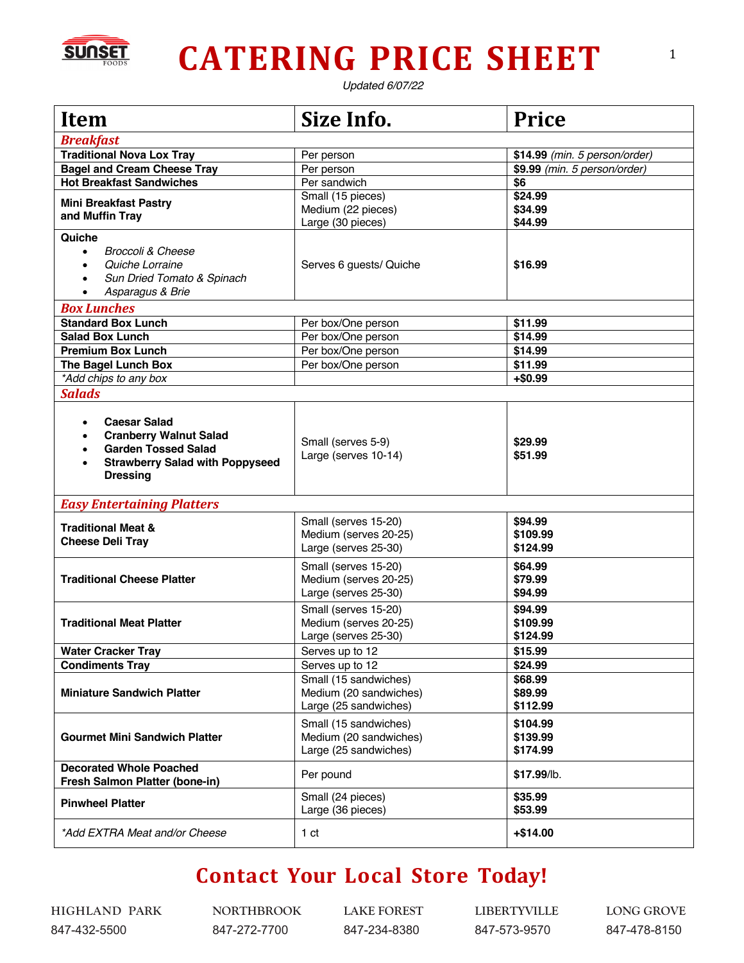

## **CATERING PRICE SHEET**

*Updated 6/07/22*

| <b>Item</b>                                                                                                                                     | Size Info.                                                               | <b>Price</b>                     |  |  |
|-------------------------------------------------------------------------------------------------------------------------------------------------|--------------------------------------------------------------------------|----------------------------------|--|--|
| <b>Breakfast</b>                                                                                                                                |                                                                          |                                  |  |  |
| <b>Traditional Nova Lox Tray</b>                                                                                                                | Per person                                                               | \$14.99 (min. 5 person/order)    |  |  |
| <b>Bagel and Cream Cheese Tray</b>                                                                                                              | Per person                                                               | \$9.99 (min. 5 person/order)     |  |  |
| <b>Hot Breakfast Sandwiches</b>                                                                                                                 | Per sandwich                                                             | \$6                              |  |  |
| <b>Mini Breakfast Pastry</b><br>and Muffin Tray                                                                                                 | Small (15 pieces)<br>Medium (22 pieces)<br>Large (30 pieces)             | \$24.99<br>\$34.99<br>\$44.99    |  |  |
| Quiche<br><b>Broccoli &amp; Cheese</b><br>$\bullet$<br>Quiche Lorraine<br>Sun Dried Tomato & Spinach<br>Asparagus & Brie                        | Serves 6 guests/ Quiche                                                  | \$16.99                          |  |  |
| <b>Box Lunches</b>                                                                                                                              |                                                                          |                                  |  |  |
| <b>Standard Box Lunch</b>                                                                                                                       | Per box/One person                                                       | \$11.99                          |  |  |
| <b>Salad Box Lunch</b>                                                                                                                          | Per box/One person                                                       | \$14.99                          |  |  |
| <b>Premium Box Lunch</b>                                                                                                                        | Per box/One person                                                       | \$14.99                          |  |  |
| The Bagel Lunch Box                                                                                                                             | Per box/One person                                                       | \$11.99                          |  |  |
| *Add chips to any box                                                                                                                           |                                                                          | $+$0.99$                         |  |  |
| <b>Salads</b>                                                                                                                                   |                                                                          |                                  |  |  |
| <b>Caesar Salad</b><br><b>Cranberry Walnut Salad</b><br><b>Garden Tossed Salad</b><br><b>Strawberry Salad with Poppyseed</b><br><b>Dressing</b> | Small (serves 5-9)<br>Large (serves 10-14)                               | \$29.99<br>\$51.99               |  |  |
| <b>Easy Entertaining Platters</b>                                                                                                               |                                                                          |                                  |  |  |
| <b>Traditional Meat &amp;</b><br><b>Cheese Deli Tray</b>                                                                                        | Small (serves 15-20)<br>Medium (serves 20-25)<br>Large (serves 25-30)    | \$94.99<br>\$109.99<br>\$124.99  |  |  |
| <b>Traditional Cheese Platter</b>                                                                                                               | Small (serves 15-20)<br>Medium (serves 20-25)<br>Large (serves 25-30)    | \$64.99<br>\$79.99<br>\$94.99    |  |  |
| <b>Traditional Meat Platter</b>                                                                                                                 | Small (serves 15-20)<br>Medium (serves 20-25)<br>Large (serves 25-30)    | \$94.99<br>\$109.99<br>\$124.99  |  |  |
| <b>Water Cracker Tray</b>                                                                                                                       | Serves up to 12                                                          | \$15.99                          |  |  |
| <b>Condiments Tray</b>                                                                                                                          | Serves up to 12                                                          | \$24.99                          |  |  |
| <b>Miniature Sandwich Platter</b>                                                                                                               | Small (15 sandwiches)<br>Medium (20 sandwiches)<br>Large (25 sandwiches) | \$68.99<br>\$89.99<br>\$112.99   |  |  |
| <b>Gourmet Mini Sandwich Platter</b>                                                                                                            | Small (15 sandwiches)<br>Medium (20 sandwiches)<br>Large (25 sandwiches) | \$104.99<br>\$139.99<br>\$174.99 |  |  |
| <b>Decorated Whole Poached</b><br>Fresh Salmon Platter (bone-in)                                                                                | Per pound                                                                | \$17.99/lb.                      |  |  |
| <b>Pinwheel Platter</b>                                                                                                                         | Small (24 pieces)<br>Large (36 pieces)                                   | \$35.99<br>\$53.99               |  |  |
| *Add EXTRA Meat and/or Cheese                                                                                                                   | 1 <sub>ct</sub>                                                          | $+ $14.00$                       |  |  |

## **Contact Your Local Store Today!**

847-432-5500 847-272-7700 847-234-8380 847-573-9570 847-478-8150

HIGHLAND PARK NORTHBROOK LAKE FOREST LIBERTYVILLE LONG GROVE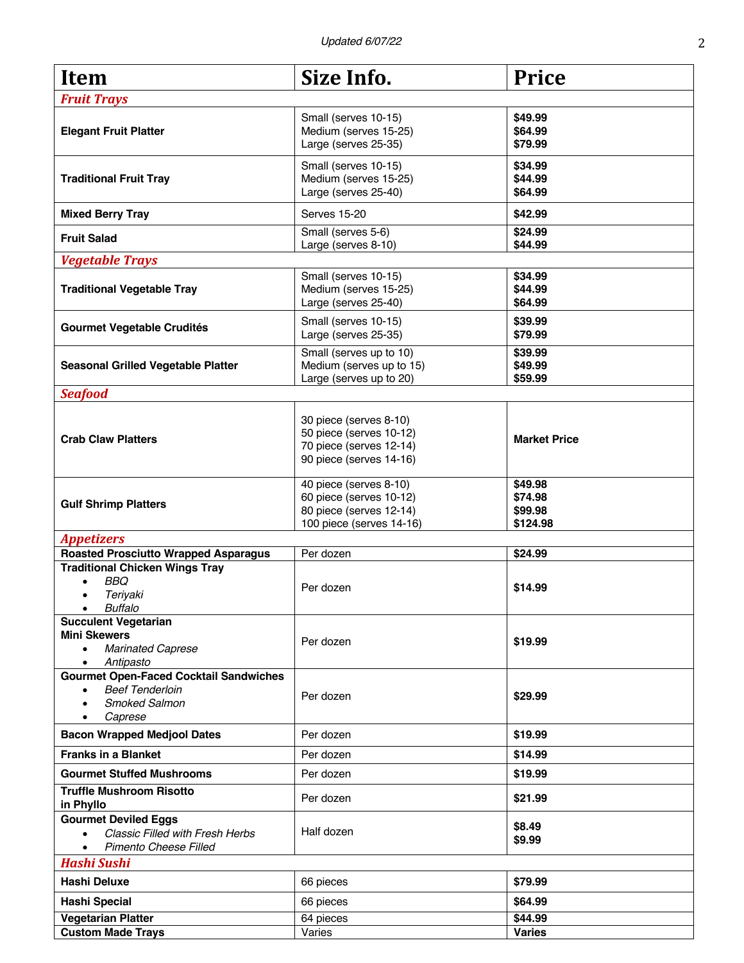| <b>Item</b>                                                     | Size Info.                                   | <b>Price</b>        |
|-----------------------------------------------------------------|----------------------------------------------|---------------------|
|                                                                 |                                              |                     |
| <b>Fruit Trays</b>                                              |                                              |                     |
|                                                                 | Small (serves 10-15)                         | \$49.99             |
| <b>Elegant Fruit Platter</b>                                    | Medium (serves 15-25)                        | \$64.99             |
|                                                                 | Large (serves 25-35)                         | \$79.99             |
| <b>Traditional Fruit Tray</b>                                   | Small (serves 10-15)                         | \$34.99             |
|                                                                 | Medium (serves 15-25)                        | \$44.99             |
|                                                                 | Large (serves 25-40)                         | \$64.99             |
| <b>Mixed Berry Tray</b>                                         | <b>Serves 15-20</b>                          | \$42.99             |
| <b>Fruit Salad</b>                                              | Small (serves 5-6)<br>Large (serves 8-10)    | \$24.99<br>\$44.99  |
| <b>Vegetable Trays</b>                                          |                                              |                     |
|                                                                 | Small (serves 10-15)                         | \$34.99             |
| <b>Traditional Vegetable Tray</b>                               | Medium (serves 15-25)                        | \$44.99             |
|                                                                 | Large (serves 25-40)                         | \$64.99             |
|                                                                 |                                              |                     |
| <b>Gourmet Vegetable Crudités</b>                               | Small (serves 10-15)<br>Large (serves 25-35) | \$39.99<br>\$79.99  |
|                                                                 | Small (serves up to 10)                      |                     |
| <b>Seasonal Grilled Vegetable Platter</b>                       | Medium (serves up to 15)                     | \$39.99<br>\$49.99  |
|                                                                 | Large (serves up to 20)                      | \$59.99             |
| <b>Seafood</b>                                                  |                                              |                     |
|                                                                 |                                              |                     |
|                                                                 | 30 piece (serves 8-10)                       |                     |
| <b>Crab Claw Platters</b>                                       | 50 piece (serves 10-12)                      | <b>Market Price</b> |
|                                                                 | 70 piece (serves 12-14)                      |                     |
|                                                                 | 90 piece (serves 14-16)                      |                     |
|                                                                 | 40 piece (serves 8-10)                       | \$49.98             |
|                                                                 | 60 piece (serves 10-12)                      | \$74.98             |
| <b>Gulf Shrimp Platters</b>                                     | 80 piece (serves 12-14)                      | \$99.98             |
|                                                                 | 100 piece (serves 14-16)                     | \$124.98            |
| <b>Appetizers</b>                                               |                                              |                     |
| <b>Roasted Prosciutto Wrapped Asparagus</b>                     | Per dozen                                    | \$24.99             |
| <b>Traditional Chicken Wings Tray</b>                           |                                              |                     |
| <b>BBQ</b>                                                      | Per dozen                                    | \$14.99             |
| Teriyaki<br>$\bullet$                                           |                                              |                     |
| <b>Buffalo</b><br>$\bullet$                                     |                                              |                     |
| <b>Succulent Vegetarian</b>                                     |                                              |                     |
| <b>Mini Skewers</b>                                             | Per dozen                                    | \$19.99             |
| <b>Marinated Caprese</b><br>$\bullet$<br>Antipasto<br>$\bullet$ |                                              |                     |
| <b>Gourmet Open-Faced Cocktail Sandwiches</b>                   |                                              |                     |
| <b>Beef Tenderloin</b><br>$\bullet$                             |                                              |                     |
| <b>Smoked Salmon</b>                                            | Per dozen                                    | \$29.99             |
| Caprese<br>$\bullet$                                            |                                              |                     |
| <b>Bacon Wrapped Medjool Dates</b>                              | Per dozen                                    | \$19.99             |
| <b>Franks in a Blanket</b>                                      | Per dozen                                    | \$14.99             |
| <b>Gourmet Stuffed Mushrooms</b>                                | Per dozen                                    | \$19.99             |
| <b>Truffle Mushroom Risotto</b>                                 | Per dozen                                    | \$21.99             |
| in Phyllo                                                       |                                              |                     |
| <b>Gourmet Deviled Eggs</b>                                     |                                              | \$8.49              |
| <b>Classic Filled with Fresh Herbs</b><br>$\bullet$             | Half dozen                                   | \$9.99              |
| Pimento Cheese Filled<br>$\bullet$                              |                                              |                     |
| <b>Hashi Sushi</b>                                              |                                              |                     |
| Hashi Deluxe                                                    | 66 pieces                                    | \$79.99             |
| <b>Hashi Special</b>                                            | 66 pieces                                    | \$64.99             |
| <b>Vegetarian Platter</b>                                       | 64 pieces                                    | \$44.99             |
| <b>Custom Made Trays</b>                                        | Varies                                       | <b>Varies</b>       |